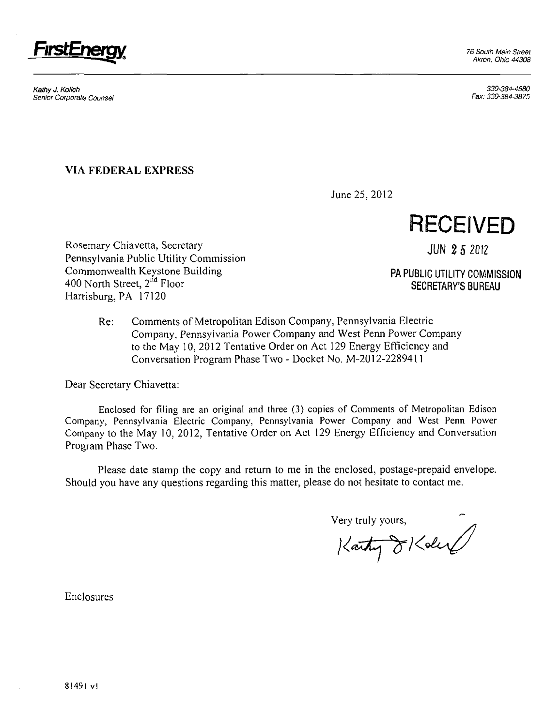76 South Main Street Akron, Ohio 44308



Kathy J. Kolich 330-384-4580 Senior Corporate Counsel ^ 330-384-3875

## **VIA FEDERAL EXPRESS**

June 25, 2012

**RECEIVED** 

Rosemary Chiavetta, Secretary june 10 and 10 and 10 and 10 and 10 and 10 and 10 and 10 and 10 and 10 and 10 and 10 and 10 and 10 and 10 and 10 and 10 and 10 and 10 and 10 and 10 and 10 and 10 and 10 and 10 and 10 and 10 an Pennsylvania Public Utility Commission Commonwealth Keystone Building entitled and the PA PUBLIC UTILITY COMMISSION **400 North Street, 2<sup>n</sup>** Harrisburg. PA 17120

*SECRETARY'S BUREAU* 

Re: Comments of Metropolitan Edison Company, Pennsylvania Electric Company, Pennsylvania Power Company and West Penn Power Company to the May 10, 2012 Tentative Order on Act 129 Energy Efficiency and Conversation Program Phase Two - Docket No. M-2012-2289411

Dear Secretary Chiavetta:

Enclosed for filing are an original and three (3) copies of Comments of Metropolitan Edison Company, Pennsylvania Electric Company. Pennsylvania Power Company and West Penn Power Company to the May 10, 2012, Tentative Order on Act 129 Energy Efficiency and Conversation Program Phase Two.

Please date stamp the copy and return to me in the enclosed, postage-prepaid envelope. Should you have any questions regarding this matter, please do not hesitate to contact me.

Very truly yours,

Enclosures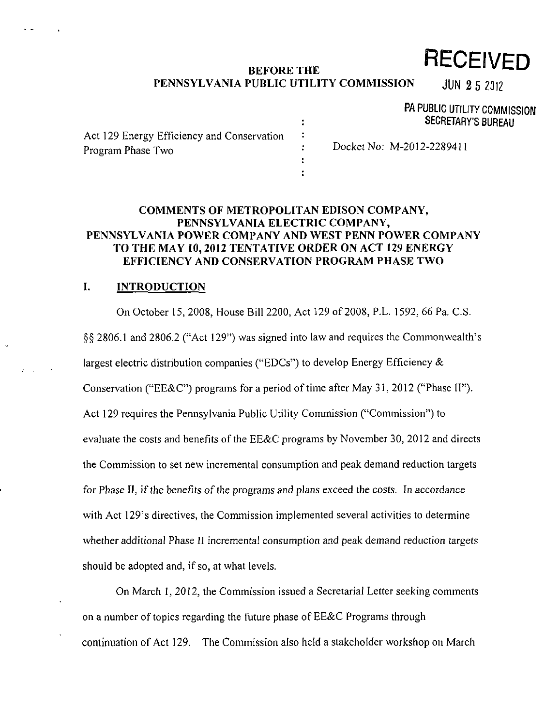# **BEFORE THE PECEIVED**

## PENNSYLVANIA PUBLIC UTILITY COMMISSION JUN 2 5 2012

## PA PUBLIC UTILITY COMMISSION SECRETARY'S BUREAU

| Act 129 Energy Efficiency and Conservation<br>Program Phase Two | Docket No: M-2012-2289411 |
|-----------------------------------------------------------------|---------------------------|
|                                                                 |                           |

 $\ddot{\cdot}$ 

## **COMMENTS OF METROPOLITAN EDISON COMPANY, PENNSYLVANIA ELECTRIC COMPANY, PENNSYLVANIA POWER COMPANY AND WEST PENN POWER COMPANY TO THE MAY 10, 2012 TENTATIVE ORDER ON ACT 129 ENERGY EFFICIENCY AND CONSERVATION PROGRAM PHASE TWO**

## **I. INTRODUCTION**

On October 15, 2008, House Bill 2200, Act 129 of 2008, P.L. 1592, 66 Pa. C.S. §§ 2806.1 and 2806.2 ("Act 129") was signed into law and requires the Commonwealth's largest electric distribution companies ("EDCs") to develop Energy Efficiency & Conservation ("EE&C") programs for a period of time after May 31,2012 ("Phase II"). Act 129 requires the Pennsylvania Public Utility Commission ("Commission") to evaluate the costs and benefits of the EE&C programs by November 30, 2012 and directs the Commission to set new incremental consumption and peak demand reduction targets for Phase II, if the benefits of the programs and plans exceed the costs. In accordance with Act 129's directives, the Commission implemented several activities to determine whether additional Phase II incremental consumption and peak demand reduction targets should be adopted and, if so, at what levels.

On March I, 2012, the Commission issued a Secretarial Letter seeking comments on a number of topics regarding the future phase of EE&C Programs through continuation of Act 129. The Commission also held a stakeholder workshop on March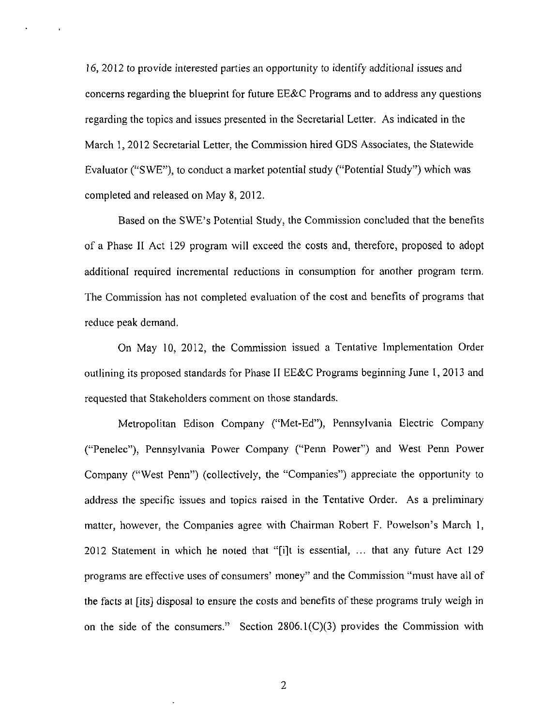16, 2012 to provide interested parties an opportunity to identify additional issues and concerns regarding the blueprint for future EE&C Programs and to address any questions regarding the topics and issues presented in the Secretarial Letter. As indicated in the March 1, 2012 Secretarial Letter, the Commission hired GDS Associates, the Statewide Evaluator ("SWE"), to conduct a market potential study ("Potential Study") which was completed and released on May 8, 2012.

Based on the SWE's Potential Study, the Commission concluded that the benefits of a Phase II Act 129 program will exceed the costs and, therefore, proposed to adopt additional required incremental reductions in consumption for another program term. The Commission has not completed evaluation of the cost and benefits of programs that reduce peak demand.

On May 10, 2012, the Commission issued a Tentative Implementation Order outlining its proposed standards for Phase II EE&C Programs beginning June 1, 2013 and requested that Stakeholders comment on those standards.

Metropolitan Edison Company ("Met-Ed"), Pennsylvania Electric Company ("Penelec"), Pennsylvania Power Company ("Perm Power") and West Penn Power Company ("West Penn") (collectively, the "Companies") appreciate the opportunity to address the specific issues and topics raised in the Tentative Order. As a preliminary matter, however, the Companies agree with Chairman Robert F. Powelson's March 1, 2012 Statement in which he noted that "[i]t is essential, ... that any future Act 129 programs are effective uses of consumers' money" and the Commission "must have all of the facts at [its] disposal to ensure the costs and benefits of these programs truly weigh in on the side of the consumers." Section 2806.1(C)(3) provides the Commission with

 $\overline{2}$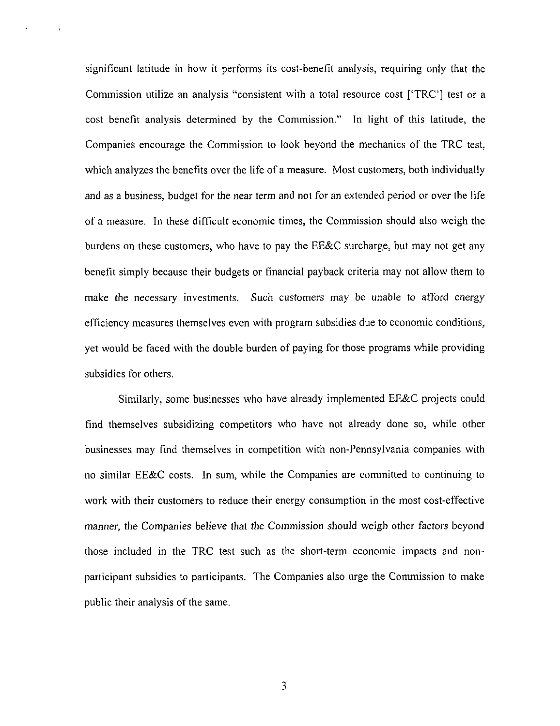significant latitude in how it performs its cost-benefit analysis, requiring only that the Commission utilize an analysis "consistent with a total resource cost ['TRC'] test or a cost benefit analysis determined by the Commission." In light of this latitude, the Companies encourage the Commission to look beyond the mechanics of the TRC test, which analyzes the benefits over the life of a measure. Most customers, both individually and as a business, budget for the near term and not for an extended period or over the life of a measure. In these difficult economic times, the Commission should also weigh the burdens on these customers, who have to pay the EE&C surcharge, but may not get any benefit simply because their budgets or financial payback criteria may not allow them to make the necessary investments. Such customers may be unable to afford energy efficiency measures themselves even with program subsidies due to economic conditions, yet would be faced with the double burden of paying for those programs while providing subsidies for others.

Similarly, some businesses who have already implemented EE&C projects could find themselves subsidizing competitors who have not already done so, while other businesses may find themselves in competition with non-Pennsylvania companies with no similar EE&C costs. In sum, while the Companies are committed to continuing to work with their customers to reduce their energy consumption in the most cost-effective manner, the Companies believe that the Commission should weigh other factors beyond those included in the TRC test such as the short-term economic impacts and nonparticipant subsidies to participants. The Companies also urge the Commission to make public their analysis of the same.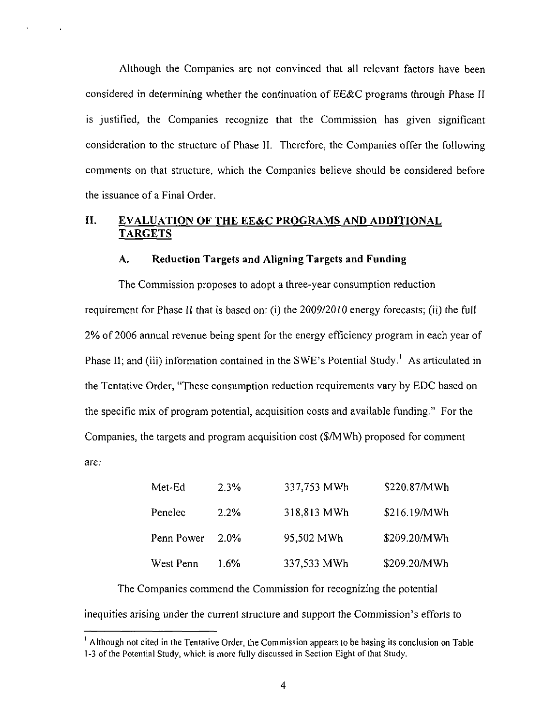Although the Companies are not convinced that all relevant factors have been considered in determining whether the continuation of EE&C programs through Phase II is justified, the Companies recognize that the Commission has given significant consideration to the structure of Phase II. Therefore, the Companies offer the following comments on that structure, which the Companies believe should be considered before the issuance of a Final Order.

## **II. EVALUATION OF THE EE&C PROGRAMS AND ADDITIONAL TARGETS**

#### **A. Reduction Targets and Aligning Targets and Funding**

The Commission proposes to adopt a three-year consumption reduction requirement for Phase II that is based on: (i) the 2009/2010 energy forecasts; (ii) the full 2% of 2006 annual revenue being spent for the energy efficiency program in each year of Phase II; and (iii) information contained in the SWE's Potential Study.' As articulated in the Tentative Order, "These consumption reduction requirements vary by EDC based on the specific mix of program potential, acquisition costs and available funding." For the Companies, the targets and program acquisition cost (\$/MWh) proposed for comment are:

| Met-Ed     | 2.3% | 337,753 MWh | \$220.87/MWh |
|------------|------|-------------|--------------|
| Penelec    | 2.2% | 318,813 MWh | \$216.19/MWh |
| Penn Power | 2.0% | 95,502 MWh  | \$209,20/MWh |
| West Penn  | 1 6% | 337,533 MWh | \$209.20/MWh |

The Companies commend the Commission for recognizing the potential inequities arising under the current structure and support the Commission's efforts to

<sup>&</sup>lt;sup>1</sup> Although not cited in the Tentative Order, the Commission appears to be basing its conclusion on Table 1-3 of the Potential Study, which is more fully discussed in Section Eight of that Study.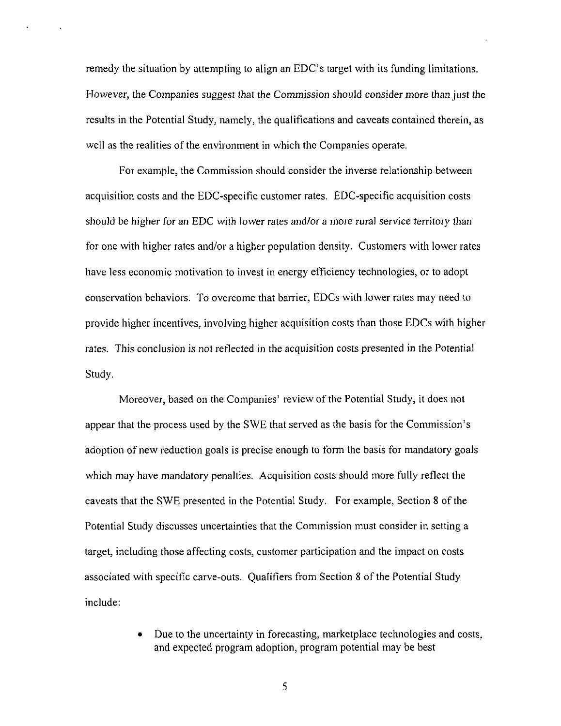remedy the situation by attempting to align an EDC's target with its funding limitations. However, the Companies suggest that the Commission should consider more than just the results in the Potential Study, namely, the qualifications and caveats contained therein, as well as the realities of the environment in which the Companies operate.

For example, the Commission should consider the inverse relationship between acquisition costs and the EDC-specific customer rates. EDC-specific acquisition costs should be higher for an EDC with lower rates and/or a more rural service territory than for one with higher rates and/or a higher population density. Customers with lower rates have less economic motivation to invest in energy efficiency technologies, or to adopt conservation behaviors. To overcome that barrier, EDCs with lower rates may need to provide higher incentives, involving higher acquisition costs than those EDCs with higher rates. This conclusion is not reflected in the acquisition costs presented in the Potential Study.

Moreover, based on the Companies' review of the Potential Study, it does not appear that the process used by the SWE that served as the basis for the Commission's adoption of new reduction goals is precise enough to form the basis for mandatory goals which may have mandatory penalties. Acquisition costs should more fully reflect the caveats that the SWE presented in the Potential Study. For example, Section 8 of the Potential Study discusses uncertainties that the Commission must consider in setting a target, including those affecting costs, customer participation and the impact on costs associated with specific carve-outs. Qualifiers from Section 8 of the Potential Study include:

> • Due to the uncertainty in forecasting, marketplace technologies and costs, and expected program adoption, program potential may be best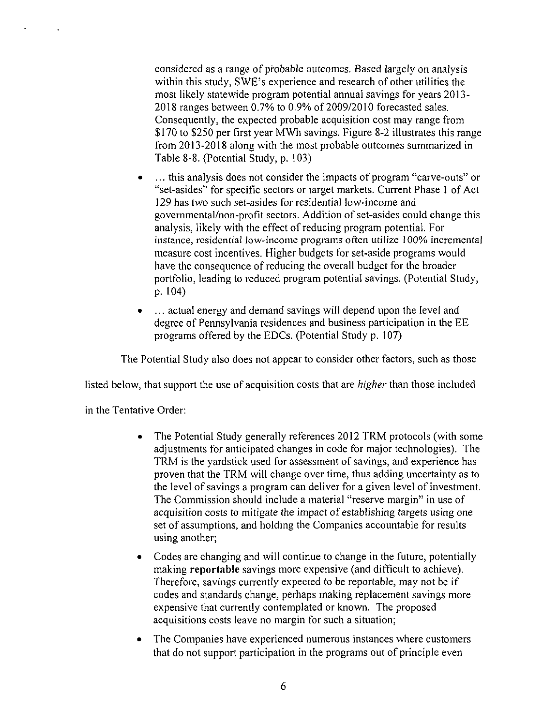considered as a range of probable outcomes. Based largely on analysis within this study, SWE's experience and research of other utilities the most likely statewide program potential annual savings for years 2013- 2018 ranges between 0.7% to 0.9% of 2009/2010 forecasted sales. Consequently, the expected probable acquisition cost may range from \$170 to \$250 per first year MWh savings. Figure 8-2 illustrates this range from 2013-2018 along with the most probable outcomes summarized in Table 8-8. (Potential Study, p. 103)

- ... this analysis does not consider the impacts of program "carve-outs" or "set-asides" for specific sectors or target markets. Current Phase 1 of Act 129 has two such set-asides for residential low-income and governmental/non-profit sectors. Addition of set-asides could change this analysis, likely with the effect of reducing program potential. For instance, residential low-income programs often utilize 100% incremental measure cost incentives. Higher budgets for set-aside programs would have the consequence of reducing the overall budget for the broader portfolio, leading to reduced program potential savings. (Potential Study, p. 104)
- ... actual energy and demand savings will depend upon the level and degree of Pennsylvania residences and business participation in the EE programs offered by the EDCs. (Potential Study p. 107)

The Potential Study also does not appear to consider other factors, such as those

listed below, that support the use of acquisition costs that are higher than those included

in the Tentative Order:

- The Potential Study generally references 2012 TRM protocols (with some adjustments for anticipated changes in code for major technologies). The TRM is the yardstick used for assessment of savings, and experience has proven that the TRM will change over time, thus adding uncertainty as to the level of savings a program can deliver for a given level of investment. The Commission should include a material "reserve margin" in use of acquisition costs to mitigate the impact of establishing targets using one set of assumptions, and holding the Companies accountable for results using another;
- Codes are changing and will continue to change in the future, potentially making reportable savings more expensive (and difficult to achieve). Therefore, savings currently expected to be reportable, may not be if codes and standards change, perhaps making replacement savings more expensive that currently contemplated or known. The proposed acquisitions costs leave no margin for such a situation;
- The Companies have experienced numerous instances where customers that do not support participation in the programs out of principle even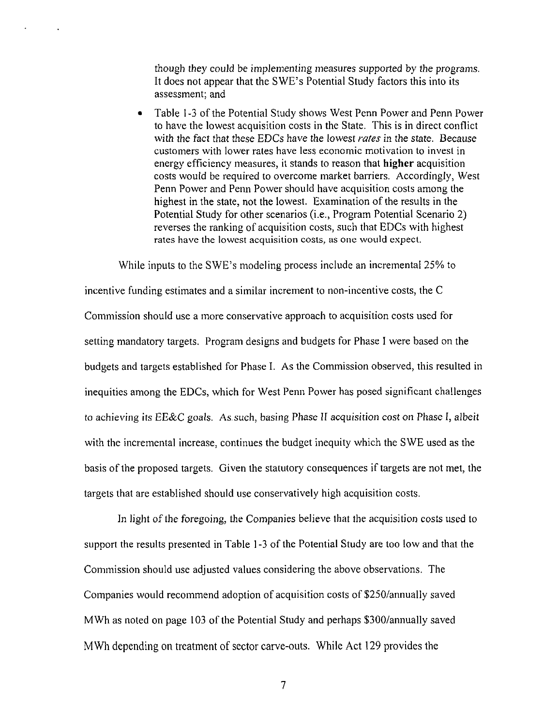though they could be implementing measures supported by the programs. It does not appear that the SWE's Potential Study factors this into its assessment; and

• Table 1-3 of the Potential Study shows West Penn Power and Penn Power to have the lowest acquisition costs in the State. This is in direct conflict with the fact that these EDCs have the lowest rates in the state. Because customers with lower rates have less economic motivation to invest in energy efficiency measures, it stands to reason that higher acquisition costs would be required to overcome market barriers. Accordingly, West Penn Power and Penn Power should have acquisition costs among the highest in the state, not the lowest. Examination of the results in the Potential Study for other scenarios (i.e., Program Potential Scenario 2) reverses the ranking of acquisition costs, such that EDCs with highest rates have the lowest acquisition costs, as one would expect.

While inputs to the SWE's modeling process include an incremental 25% to incentive funding estimates and a similar increment to non-incentive costs, the C Commission should use a more conservative approach to acquisition costs used for setting mandatory targets. Program designs and budgets for Phase I were based on the budgets and targets established for Phase I. As the Commission observed, this resulted in inequities among the EDCs, which for West Penn Power has posed significant challenges to achieving its EE&C goals. As such, basing Phase II acquisition cost on Phase I, albeit with the incremental increase, continues the budget inequity which the SWE used as the basis of the proposed targets. Given the statutory consequences if targets are not met, the targets that are established should use conservatively high acquisition costs.

In light of the foregoing, the Companies believe that the acquisition costs used to support the results presented in Table 1 -3 of the Potential Study are too low and that the Commission should use adjusted values considering the above observations. The Companies would recommend adoption of acquisition costs of \$250/annually saved MWh as noted on page 103 of the Potential Study and perhaps \$300/annually saved MWh depending on treatment of sector carve-outs. While Act 129 provides the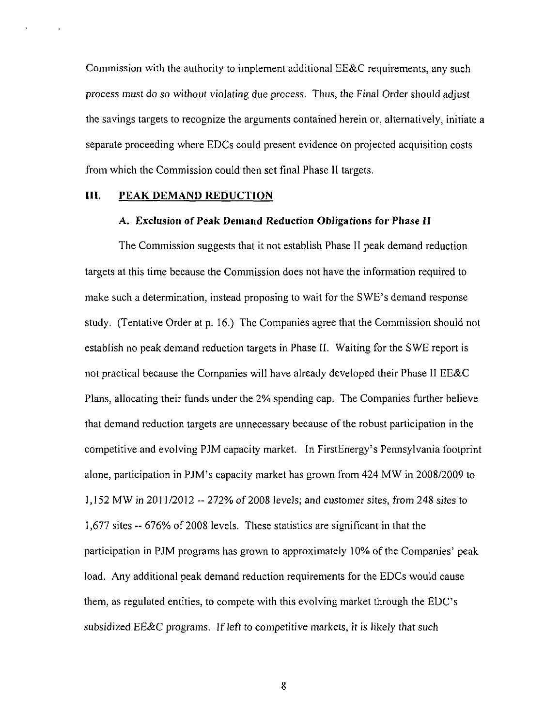**Commission with the authority to implement additional EE&C requirements, any such process must do so without violating due process. Thus, the Final Order should adjust the savings targets to recognize the arguments contained herein or, alternatively, initiate a separate proceeding where EDCs could present evidence on projected acquisition costs from which the Commission could then set final Phase II targets.** 

#### **HI. PEAK DEMAND REDUCTION**

#### A. Exclusion of Peak Demand Reduction Obligations for Phase II

The Commission suggests that it not establish Phase II peak demand reduction targets at this time because the Commission does not have the information required to make such a determination, instead proposing to wait for the SWE's demand response study. (Tentative Order at p. 16.) The Companies agree that the Commission should not establish no peak demand reduction targets in Phase II. Waiting for the SWE report is not practical because the Companies will have already developed their Phase II EE&C Plans, allocating their funds under the 2% spending cap. The Companies further believe that demand reduction targets are unnecessary because of the robust participation in the competitive and evolving PJM capacity market. In FirstEnergy's Pennsylvania footprint alone, participation in PJM's capacity market has grown from 424 MW in 2008/2009 to 1,152 MW in 2011/2012 -- 272% of 2008 levels; and customer sites, from 248 sites to 1,677 sites -- 676% of 2008 levels. These statistics are significant in that the participation in PJM programs has grown to approximately 10% of the Companies' peak load. Any additional peak demand reduction requirements for the EDCs would cause them, as regulated entities, to compete with this evolving market through the EDC's subsidized EE&C programs. If left to competitive markets, it is likely that such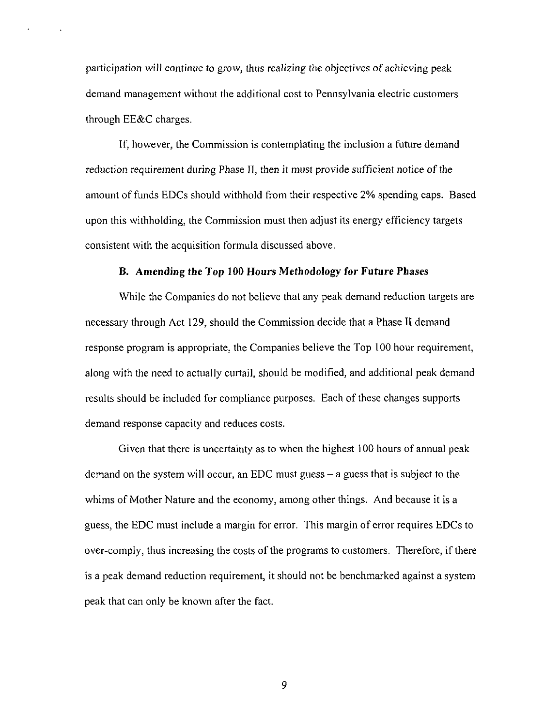participation will continue to grow, thus realizing the objectives of achieving peak demand management without the additional cost to Pennsylvania electric customers through EE&C charges.

If, however, the Commission is contemplating the inclusion a future demand reduction requirement during Phase II, then it must provide sufficient notice of the amount of funds EDCs should withhold from their respective 2% spending caps. Based upon this withholding, the Commission must then adjust its energy efficiency targets consistent with the acquisition formula discussed above.

#### **B. Amending the Top 100 Hours Methodology for Future Phases**

While the Companies do not believe that any peak demand reduction targets are necessary through Act 129, should the Commission decide that a Phase II demand response program is appropriate, the Companies believe the Top 100 hour requirement, along with the need to actually curtail, should be modified, and additional peak demand results should be included for compliance purposes. Each of these changes supports demand response capacity and reduces costs.

Given that there is uncertainty as to when the highest 100 hours of annual peak demand on the system will occur, an EDC must guess  $-$  a guess that is subject to the whims of Mother Nature and the economy, among other things. And because it is a guess, the EDC must include a margin for error. This margin of error requires EDCs to over-comply, thus increasing the costs of the programs to customers. Therefore, if there is a peak demand reduction requirement, it should not be benchmarked against a system peak that can only be known after the fact.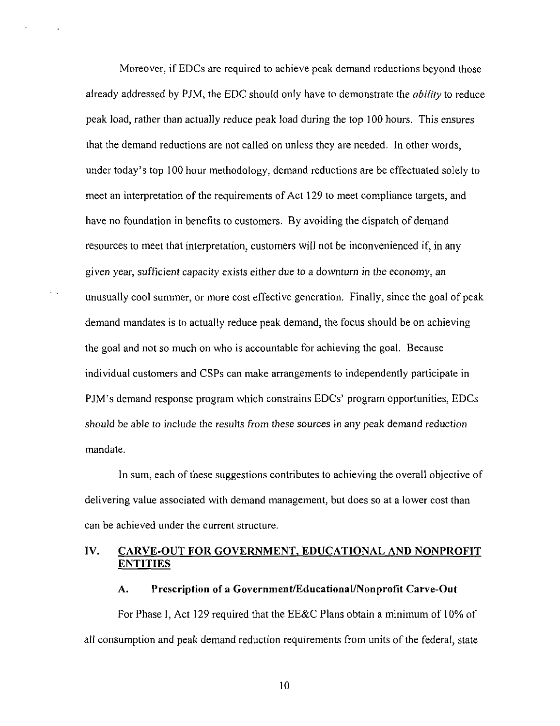Moreover, if EDCs are required to achieve peak demand reductions beyond those already addressed by PJM, the EDC should only have to demonstrate the *ability* to reduce peak load, rather than actually reduce peak load during the top 100 hours. This ensures that the demand reductions are not called on unless they are needed. In other words, under today's top 100 hour methodology, demand reductions are be effectuated solely to meet an interpretation of the requirements of Act 129 to meet compliance targets, and have no foundation in benefits to customers. By avoiding the dispatch of demand resources to meet that interpretation, customers will not be inconvenienced if, in any given year, sufficient capacity exists either due to a downturn in the economy, an unusually cool summer, or more cost effective generation. Finally, since the goal of peak demand mandates is to actually reduce peak demand, the focus should be on achieving the goal and not so much on who is accountable for achieving the goal. Because individual customers and CSPs can make arrangements to independently participate in PJM's demand response program which constrains EDCs' program opportunities, EDCs should be able to include the results from these sources in any peak demand reduction mandate.

 $\mathcal{L}^{\mathcal{A}}$ 

In sum, each of these suggestions contributes to achieving the overall objective of delivering value associated with demand management, but does so at a lower cost than can be achieved under the current structure.

## **IV. CARVE-OUT FOR GOVERNMENT, EDUCATIONAL AND NONPROFIT ENTITIES**

#### **A. Prescription of a Government/Educational/Nonprofit Carve-Out**

For Phase 1, Act 129 required that the EE&C Plans obtain a minimum of 10% of all consumption and peak demand reduction requirements from units of the federal, state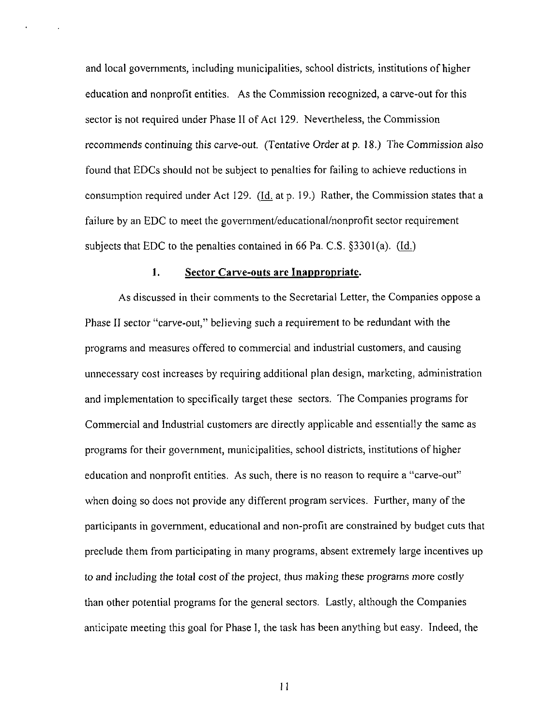and local governments, including municipalities, school districts, institutions of higher education and nonprofit entities. As the Commission recognized, a carve-out for this sector is not required under Phase II of Act 129. Nevertheless, the Commission recommends continuing this carve-out. (Tentative Order at p. 18.) The Commission also found that EDCs should not be subject to penalties for failing to achieve reductions in consumption required under Act 129. (Id. at p. 19.) Rather, the Commission states that a failure by an EDC to meet the government/educational/nonprofit sector requirement subjects that EDC to the penalties contained in 66 Pa. C.S. §3301(a). (Id.)

## 1. Sector Carve-outs are Inappropriate.

As discussed in their comments to the Secretarial Letter, the Companies oppose a Phase II sector "carve-out," believing such a requirement to be redundant with the programs and measures offered to commercial and industrial customers, and causing unnecessary cost increases by requiring additional plan design, marketing, administration and implementation to specifically target these sectors. The Companies programs for Commercial and Industrial customers are directly applicable and essentially the same as programs for their government, municipalities, school districts, institutions of higher education and nonprofit entities. As such, there is no reason to require a "carve-out" when doing so does not provide any different program services. Further, many of the participants in government, educational and non-profit are constrained by budget cuts that preclude them from participating in many programs, absent extremely large incentives up to and including the total cost of the project, thus making these programs more costly than other potential programs for the general sectors. Lastly, although the Companies anticipate meeting this goal for Phase I, the task has been anything but easy. Indeed, the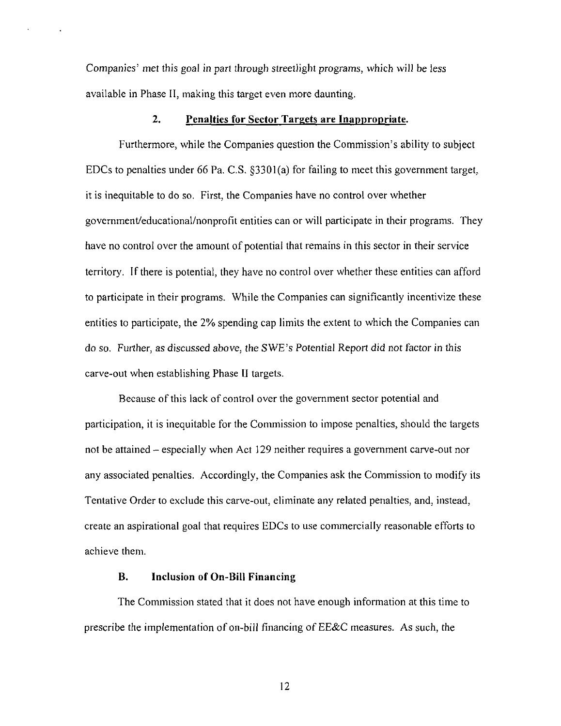Companies' met this goal in part through streetlight programs, which will be less available in Phase II, making this target even more daunting.

#### **2. Penalties for Sector Targets are Inappropriate.**

Furthermore, while the Companies question the Commission's ability to subject EDCs to penalties under 66 Pa. C.S. §3301(a) for failing to meet this government target, it is inequitable to do so. First, the Companies have no control over whether government/educational/nonprofit entities can or will participate in their programs. They have no control over the amount of potential that remains in this sector in their service territory. If there is potential, they have no control over whether these entities can afford to participate in their programs. While the Companies can significantly incentivize these entities to participate, the 2% spending cap limits the extent to which the Companies can do so. Further, as discussed above, the SWE's Potential Report did not factor in this carve-out when establishing Phase II targets.

Because of this lack of control over the government sector potential and participation, it is inequitable for the Commission to impose penalties, should the targets not be attained - especially when Act 129 neither requires a government carve-out nor any associated penalties. Accordingly, the Companies ask the Commission to modify its Tentative Order to exclude this carve-out, eliminate any related penalties, and, instead, create an aspirational goal that requires EDCs to use commercially reasonable efforts to achieve them.

#### **B. Inclusion of On-Bill Financing**

The Commission stated that it does not have enough information at this time to prescribe the implementation of on-bill financing of EE&C measures. As such, the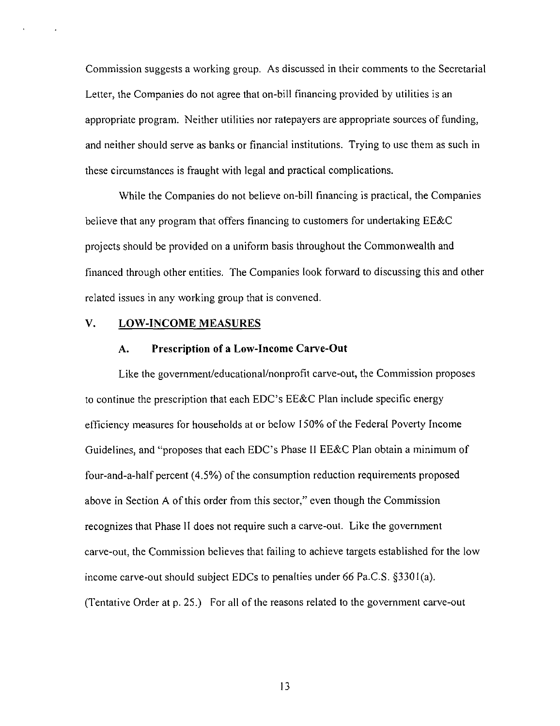Commission suggests a working group. As discussed in their comments to the Secretarial Letter, the Companies do not agree that on-bill financing provided by utilities is an appropriate program. Neither utilities nor ratepayers are appropriate sources of funding, and neither should serve as banks or financial institutions. Trying to use them as such in these circumstances is fraught with legal and practical complications.

**While the Companies do not believe on-bill financing is practical, the Companies believe that any program that offers financing to customers for undertaking EE&C projects should be provided on a uniform basis throughout the Commonwealth and financed through other entities. The Companies look forward to discussing this and other related issues in any working group that is convened.** 

#### **V. LOW-INCOME MEASURES**

#### **A. Prescription of a Low-Income Carve-Out**

Like the govemment/educational/nonprofit carve-out, the Commission proposes to continue the prescription that each EDC's EE&C Plan include specific energy efficiency measures for households at or below 150% of the Federal Poverty Income Guidelines, and "proposes that each EDC's Phase II EE&C Plan obtain a minimum of four-and-a-half percent (4.5%) of the consumption reduction requirements proposed above in Section A of this order from this sector," even though the Commission recognizes that Phase II does not require such a carve-out. Like the government carve-out, the Commission believes that failing to achieve targets established for the low income carve-out should subject EDCs to penalties under 66 Pa.C.S. §3301(a). (Tentative Order at p. 25.) For all of the reasons related to the government carve-out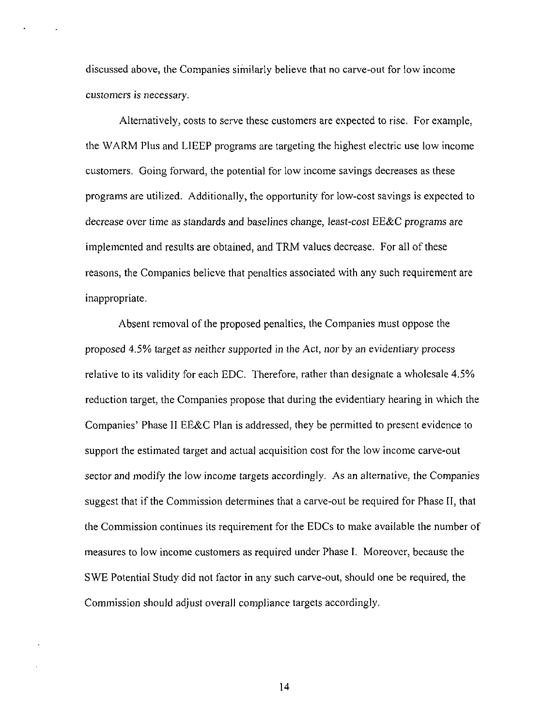discussed above, the Companies similarly believe that no carve-out for low income customers is necessary.

Alternatively, costs to serve these customers are expected to rise. For example, the WARM Plus and LIEEP programs are targeting the highest electric use low income customers. Going forward, the potential for low income savings decreases as these programs are utilized. Additionally, the opportunity for low-cost savings is expected to decrease over time as standards and baselines change, least-cost EE&C programs are implemented and results are obtained, and TRM values decrease. For all of these reasons, the Companies believe that penalties associated with any such requirement are inappropriate.

Absent removal of the proposed penalties, the Companies must oppose the proposed 4.5% target as neither supported in the Act, nor by an evidentiary process relative to its validity for each EDC. Therefore, rather than designate a wholesale 4.5% reduction target, the Companies propose that during the evidentiary hearing in which the Companies' Phase II EE&C Plan is addressed, they be permitted to present evidence to support the estimated target and actual acquisition cost for the low income carve-out sector and modify the low income targets accordingly. As an alternative, the Companies suggest that if the Commission determines that a carve-out be required for Phase [I, that the Commission continues its requirement for the EDCs to make available the number of measures to low income customers as required under Phase I. Moreover, because the SWE Potential Study did not factor in any such carve-out, should one be required, the Commission should adjust overall compliance targets accordingly.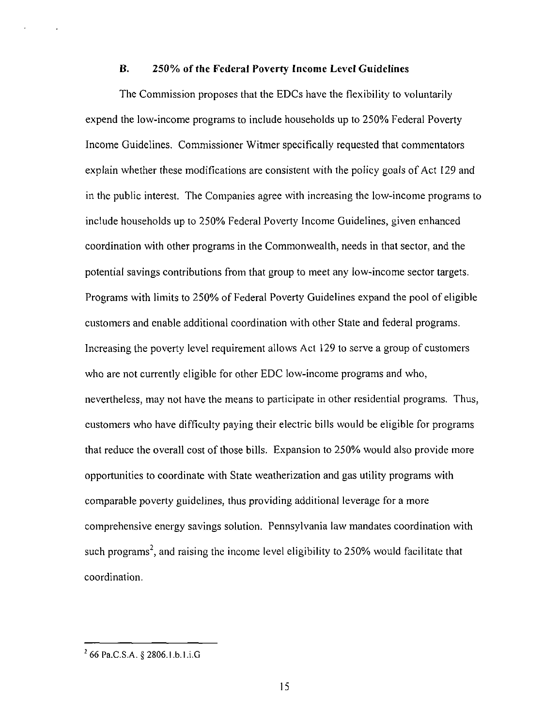## **B. 250% of the Federal Poverty Income Level Guidelines**

The Commission proposes that the EDCs have the flexibility to voluntarily expend the low-income programs to include households up to 250% Federal Poverty Income Guidelines, Commissioner Witmer specifically requested that commentators explain whether these modifications are consistent with the policy goals of Act 129 and in the public interest. The Companies agree with increasing the low-income programs to include households up to 250% Federal Poverty Income Guidelines, given enhanced coordination with other programs in the Commonwealth, needs in that sector, and the potential savings contributions from that group to meet any low-income sector targets. Programs with limits to 250% of Federal Poverty Guidelines expand the pool of eligible customers and enable additional coordination with other State and federal programs. Increasing the poverty level requirement allows Act 129 to serve a group of customers who are not currently eligible for other EDC low-income programs and who, nevertheless, may not have the means to participate in other residential programs. Thus, customers who have difficulty paying their electric bills would be eligible for programs that reduce the overall cost of those bills. Expansion to 250% would also provide more opportunities to coordinate with State weatherization and gas utility programs with comparable poverty guidelines, thus providing additional leverage for a more comprehensive energy savings solution. Pennsylvania law mandates coordination with such programs<sup>2</sup>, and raising the income level eligibility to 250% would facilitate that coordination.

<sup>&</sup>lt;sup>2</sup> 66 Pa.C.S.A. § 2806.1.b.1.i.G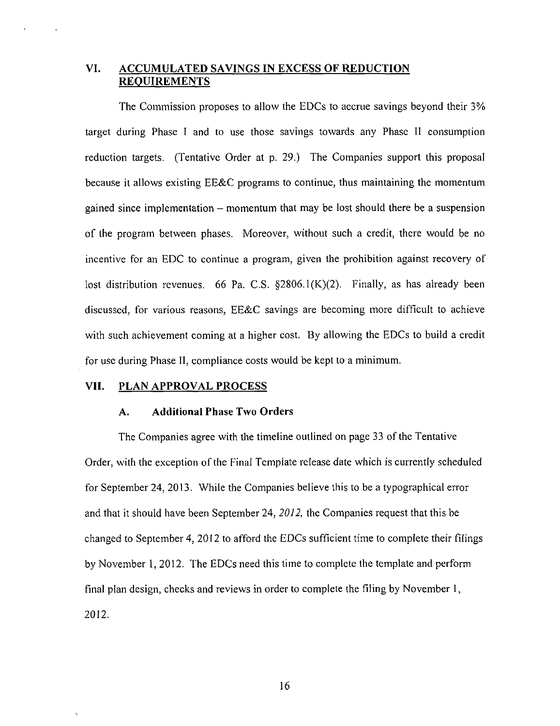## **VI. ACCUMULATED SAVINGS IN EXCESS OF REDUCTION REQUIREMENTS**

The Commission proposes to allow the EDCs to accrue savings beyond their 3% target during Phase I and to use those savings towards any Phase II consumption reduction targets. (Tentative Order at p. 29.) The Companies support this proposal because it allows existing EE&C programs to continue, thus maintaining the momentum gained since implementation - momentum that may be lost should there be a suspension of the program between phases. Moreover, without such a credit, there would be no incentive for an EDC to continue a program, given the prohibition against recovery of lost distribution revenues. 66 Pa. C.S. §2806.1(K)(2). Finally, as has already been discussed, for various reasons, EE&C savings are becoming more difficult to achieve with such achievement coming at a higher cost. By allowing the EDCs to build a credit for use during Phase II, compliance costs would be kept to a minimum.

#### **VII. PLAN APPROVAL PROCESS**

## **A. Additional Phase Two Orders**

The Companies agree with the timeline outlined on page 33 of the Tentative Order, with the exception of the Final Template release date which is currently scheduled for September 24, 2013. While the Companies believe this to be a typographical error and that it should have been September 24, 2012, the Companies request that this be changed to September 4, 2012 to afford the EDCs sufficient time to complete their filings by November 1, 2012. The EDCs need this time to complete the template and perform final plan design, checks and reviews in order to complete the filing by November 1, 2012.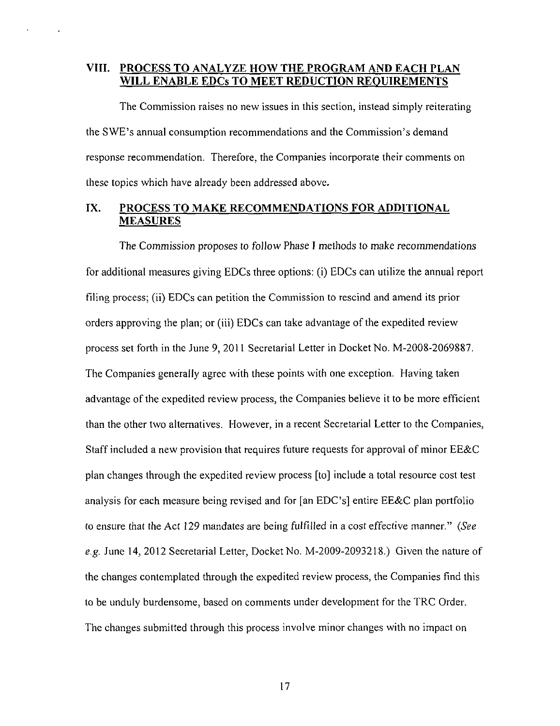## **VIII. PROCESS TO ANALYZE HOW THE PROGRAM AND EACH PLAN WILL ENABLE EDCs TO MEET REDUCTION REQUIREMENTS**

The Commission raises no new issues in this section, instead simply reiterating the SWE's annual consumption recommendations and the Commission's demand response recommendation. Therefore, the Companies incorporate their comments on these topics which have already been addressed above.

## **IX. PROCESS TO MAKE RECOMMENDATIONS FOR ADDITIONAL MEASURES**

The Commission proposes to follow Phase I methods to make recommendations for additional measures giving EDCs three options: (i) EDCs can utilize the annual report filing process; (ii) EDCs can petition the Commission to rescind and amend its prior orders approving the plan; or (iii) EDCs can take advantage of the expedited review process set forth in the June 9, 2011 Secretarial Letter in Docket No. M-2008-2069887. The Companies generally agree with these points with one exception. Having taken advantage of the expedited review process, the Companies believe it to be more efficient than the other two alternatives. However, in a recent Secretarial Letter to the Companies, Staff included a new provision that requires future requests for approval of minor EE&C plan changes through the expedited review process [to] include a total resource cost test analysis for each measure being revised and for [an EDC's] entire EE&C plan portfolio to ensure that the Act 129 mandates are being fulfilled in a cost effective manner." {See e.g. June 14, 2012 Secretarial Letter, Docket No. M-2009-2093218.) Given the nature of the changes contemplated through the expedited review process, the Companies find this to be unduly burdensome, based on comments under development for the TRC Order. The changes submitted through this process involve minor changes with no impact on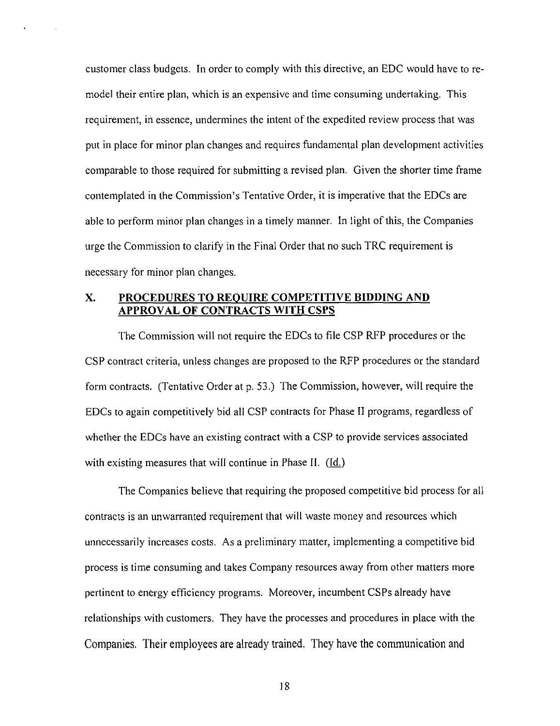customer class budgets. In order to comply with this directive, an EDC would have to remodel their entire plan, which is an expensive and time consuming undertaking. This requirement, in essence, undermines the intent of the expedited review process that was put in place for minor plan changes and requires fundamental plan development activities comparable to those required for submitting a revised plan. Given the shorter time frame contemplated in the Commission's Tentative Order, it is imperative that the EDCs are able to perform minor plan changes in a timely manner. In light of this, the Companies urge the Commission to clarify in the Final Order that no such TRC requirement is necessary for minor plan changes.

## **X. PROCEDURES TO REQUIRE COMPETITIVE BIDDING AND APPROVAL OF CONTRACTS WITH CSPS**

The Commission will not require the EDCs to file CSP RFP procedures or the CSP contract criteria, unless changes are proposed to the RFP procedures or the standard form contracts. (Tentative Order at p. 53.) The Commission, however, will require the EDCs to again competitively bid all CSP contracts for Phase II programs, regardless of whether the EDCs have an existing contract with a CSP to provide services associated with existing measures that will continue in Phase II. (Id.)

The Companies believe that requiring the proposed competitive bid process for all contracts is an unwarranted requirement that will waste money and resources which unnecessarily increases costs. As a preliminary matter, implementing a competitive bid process is time consuming and takes Company resources away from other matters more pertinent to energy efficiency programs. Moreover, incumbent CSPs already have relationships with customers. They have the processes and procedures in place with the Companies. Their employees are already trained. They have the communication and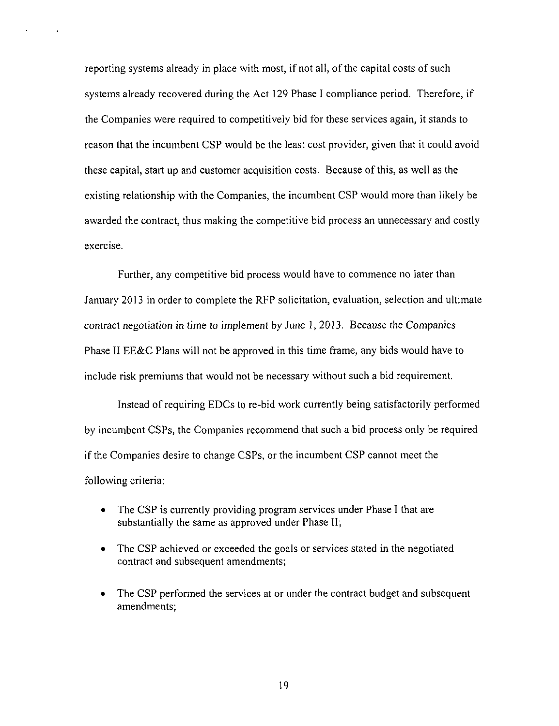reporting systems already in place with most, if not all, of the capital costs of such systems already recovered during the Act 129 Phase I compliance period. Therefore, if the Companies were required to competitively bid for these services again, it stands to reason that the incumbent CSP would be the least cost provider, given that it could avoid these capital, start up and customer acquisition costs. Because of this, as well as the existing relationship with the Companies, the incumbent CSP would more than likely be awarded the contract, thus making the competitive bid process an unnecessary and costly exercise.

Further, any competitive bid process would have to commence no later than January 2013 in order to complete the RFP solicitation, evaluation, selection and ultimate contract negotiation in time to implement by June 1, 2013. Because the Companies Phase II EE&C Plans will not be approved in this time frame, any bids would have to include risk premiums that would not be necessary without such a bid requirement.

Instead of requiring EDCs to re-bid work currently being satisfactorily performed by incumbent CSPs, the Companies recommend that such a bid process only be required if the Companies desire to change CSPs, or the incumbent CSP cannot meet the following criteria:

- The CSP is currently providing program services under Phase I that are substantially the same as approved under Phase II;
- The CSP achieved or exceeded the goals or services stated in the negotiated contract and subsequent amendments;
- The CSP performed the services at or under the contract budget and subsequent amendments;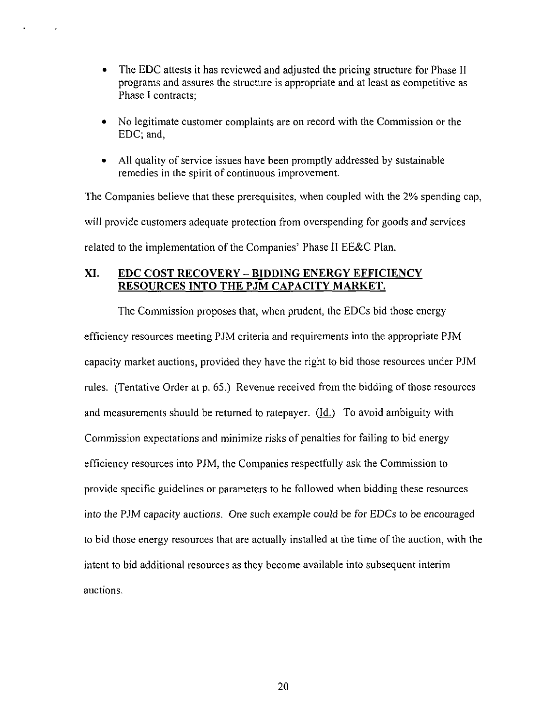- The EDC attests it has reviewed and adjusted the pricing structure for Phase II programs and assures the structure is appropriate and at least as competitive as Phase I contracts;
- No legitimate customer complaints are on record with the Commission or the EDC; and,
- All quality of service issues have been promptly addressed by sustainable remedies in the spirit of continuous improvement.

The Companies believe that these prerequisites, when coupled with the 2% spending cap, will provide customers adequate protection from overspending for goods and services related to the implementation of the Companies' Phase II EE&C Plan.

## **XI. EDC COST RECOVERY - BIDDING ENERGY EFFICIENCY RESOURCES INTO THE PJM CAPACITY MARKET.**

The Commission proposes that, when prudent, the EDCs bid those energy efficiency resources meeting PJM criteria and requirements into the appropriate PJM capacity market auctions, provided they have the right to bid those resources under PJM rules. (Tentative Order at p. 65.) Revenue received from the bidding of those resources and measurements should be returned to ratepayer. (Id.) To avoid ambiguity with Commission expectations and minimize risks of penalties for failing to bid energy efficiency resources into PJM, the Companies respectfully ask the Commission to provide specific guidelines or parameters to be followed when bidding these resources into the PJM capacity auctions. One such example could be for EDCs to be encouraged to bid those energy resources that are actually installed at the time of the auction, with the intent to bid additional resources as they become available into subsequent interim auctions.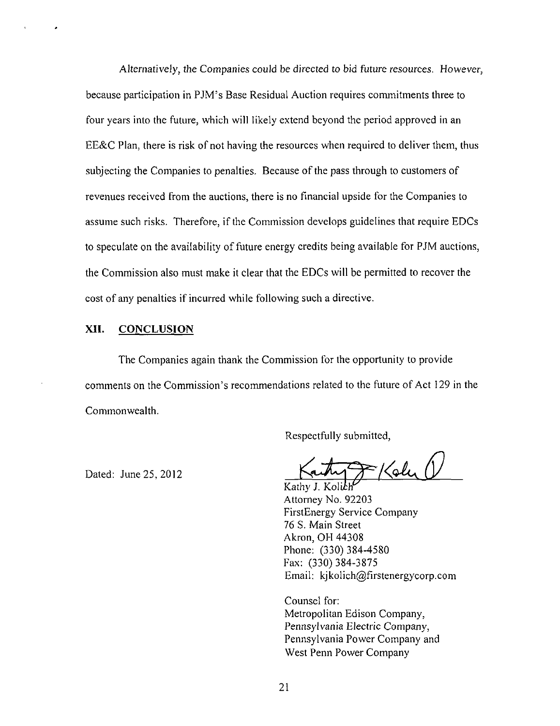Alternatively, the Companies could be directed to bid future resources. However, because participation in PJM's Base Residual Auction requires commitments three to four years into the future, which will likely extend beyond the period approved in an EE&C Plan, there is risk of not having the resources when required to deliver them, thus subjecting the Companies to penalties. Because of the pass through to customers of revenues received from the auctions, there is no financial upside for the Companies to assume such risks. Therefore, if the Commission develops guidelines that require EDCs to speculate on the availability of future energy credits being available for PJM auctions, the Commission also must make it clear that the EDCs will be permitted to recover the cost of any penalties if incurred while following such a directive.

#### XII. CONCLUSION

The Companies again thank the Commission for the opportunity to provide comments on the Commission's recommendations related to the future of Act 129 in the Commonwealth.

Respectfully submitted,

 $\approx$  Koly

Kathy J. Koliki Attorney No. 92203 FirstEnergy Service Company 76 S. Main Street Akron, OH 44308 Phone: (330) 384-4580 Fax: (330) 384-3875 Email: kjkolich@firstenergycorp.com

Counsel for: Metropolitan Edison Company, Pennsylvania Electric Company, Pennsylvania Power Company and West Penn Power Company

Dated: June 25, 2012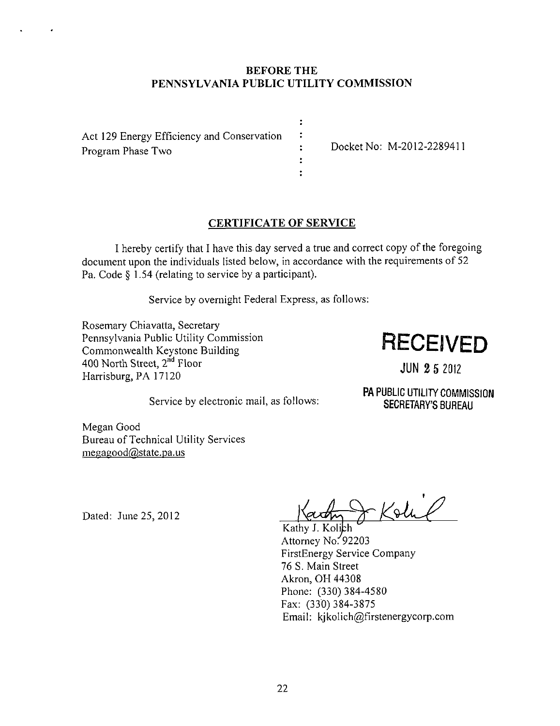## **BEFORE THE PENNSYLVANIA PUBLIC UTILITY COMMISSION**

 $\ddot{\phantom{a}}$  $\ddot{\phantom{a}}$ 

 $\ddot{\cdot}$ 

Act 129 Energy Efficiency and Conservation Program Phase Two : Docket No: M-2012-2289411

## **CERTIFICATE OF SERVICE**

I hereby certify that I have this day served a true and correct copy ofthe foregoing document upon the individuals listed below, in accordance with the requirements of 52 Pa. Code § 1.54 (relating to service by a participant).

Service by overnight Federal Express, as follows:

Rosemary Chiavatta, Secretary Pennsylvania Public Utility Commission Commonwealth Keystone Building 400 North Street, 2<sup>nd</sup> Floor Harrisburg, PA 17120

## **RECEIVED**

JUN 2 5 2012

Service by electronic mail, as follows:

PA PUBLIC UTILITY COMMISSION SECRETARY'S BUREAU

Megan Good Bureau of Technical Utility Services megagood@state.pa.us

Dated: June 25, 2012

 $\bigstar$  Kolub

Kathy J. Kolich Attorney No.  $92203$ FirstEnergy Service Company 76 S. Main Street Akron, OH 44308 Phone: (330) 384-4580 Fax: (330) 384-3875 Email: kjkolich@firstenergycorp.com